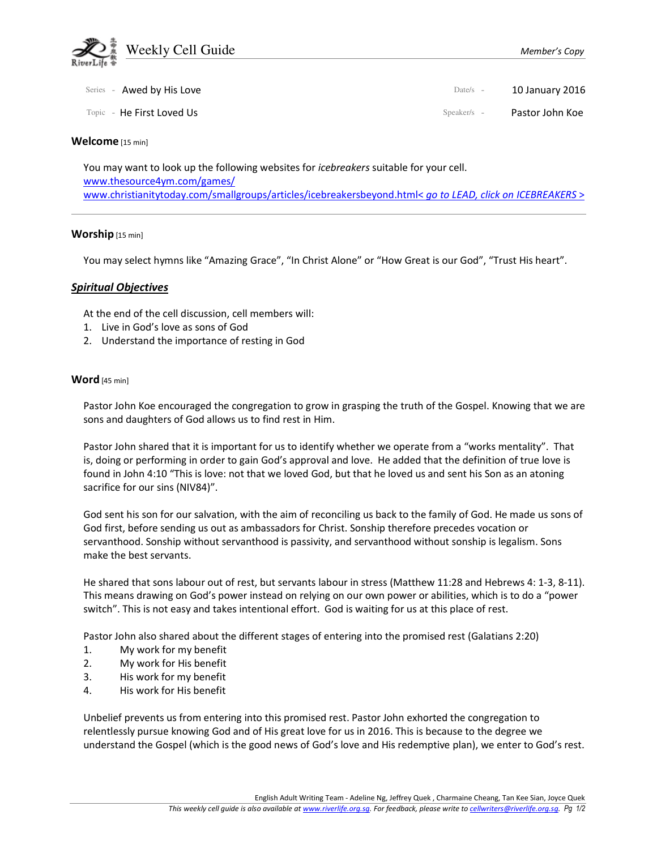

| Series - Awed by His Love | Date/s $-$    | 10 January 2016 |
|---------------------------|---------------|-----------------|
| Topic - He First Loved Us | $Speaker/s -$ | Pastor John Koe |

#### Welcome [15 min]

You may want to look up the following websites for *icebreakers* suitable for your cell. www.thesource4ym.com/games/ www.christianitytoday.com/smallgroups/articles/icebreakersbeyond.html< go to LEAD, click on ICEBREAKERS >

#### Worship [15 min]

You may select hymns like "Amazing Grace", "In Christ Alone" or "How Great is our God", "Trust His heart".

## Spiritual Objectives

At the end of the cell discussion, cell members will:

- 1. Live in God's love as sons of God
- 2. Understand the importance of resting in God

## Word [45 min]

Pastor John Koe encouraged the congregation to grow in grasping the truth of the Gospel. Knowing that we are sons and daughters of God allows us to find rest in Him.

Pastor John shared that it is important for us to identify whether we operate from a "works mentality". That is, doing or performing in order to gain God's approval and love. He added that the definition of true love is found in John 4:10 "This is love: not that we loved God, but that he loved us and sent his Son as an atoning sacrifice for our sins (NIV84)".

God sent his son for our salvation, with the aim of reconciling us back to the family of God. He made us sons of God first, before sending us out as ambassadors for Christ. Sonship therefore precedes vocation or servanthood. Sonship without servanthood is passivity, and servanthood without sonship is legalism. Sons make the best servants.

He shared that sons labour out of rest, but servants labour in stress (Matthew 11:28 and Hebrews 4: 1-3, 8-11). This means drawing on God's power instead on relying on our own power or abilities, which is to do a "power switch". This is not easy and takes intentional effort. God is waiting for us at this place of rest.

Pastor John also shared about the different stages of entering into the promised rest (Galatians 2:20)

- 1. My work for my benefit
- 2. My work for His benefit
- 3. His work for my benefit
- 4. His work for His benefit

Unbelief prevents us from entering into this promised rest. Pastor John exhorted the congregation to relentlessly pursue knowing God and of His great love for us in 2016. This is because to the degree we understand the Gospel (which is the good news of God's love and His redemptive plan), we enter to God's rest.